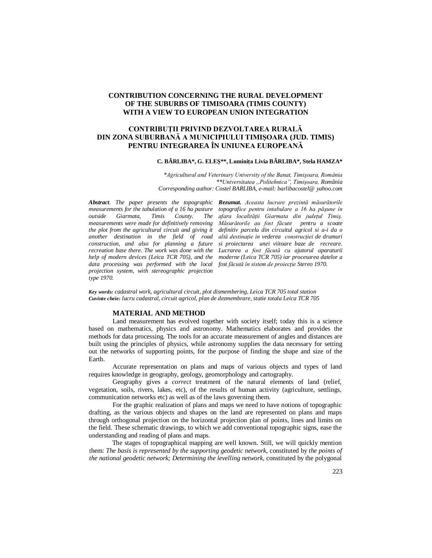# **CONTRIBUTION CONCERNING THE RURAL DEVELOPMENT OF THE SUBURBS OF TIMISOARA (TIMIS COUNTY) WITH A VIEW TO EUROPEAN UNION INTEGRATION**

## **CONTRIBUŢII PRIVIND DEZVOLTAREA RURALĂ DIN ZONA SUBURBANĂ A MUNICIPIULUI TIMIŞOARA (JUD. TIMIS) PENTRU INTEGRAREA ÎN UNIUNEA EUROPEANĂ**

#### **C. BÂRLIBA\*, G. ELEŞ\*\*, Luminiţa Livia BÂRLIBA\*, Stela HAMZA\***

*\*Agricultural and Veterinary University of the Banat, Timişoara, România \*\*Universitatea "Politehnica", Timişoara, România Corresponding author: Costel BARLIBA, e-mail: barlibacostel@ yahoo.com*

*measurements for the tabulation of a 16 ha pasture*  Giarmata, Timis County. The *measurements were made for definitively removing the plot from the agricultural circuit and giving it another destination in the field of road construction, and also for planning a future recreation base there. The work was done with the help of modern devices (Leica TCR 705), and the data processing was performed with the local projection system, with stereographic projection type 1970.*

*Abstract. The paper presents the topographic Rezumat. Aceasta lucrare prezintă măsurătorile topografice pentru intabulare a 16 ha păşune în afara localităţii Giarmata din judeţul Timiş. Măsurătorile au fost făcute pentru a scoate definitiv parcela din circuitul agricol si a-i da o altă destinaţie in vederea construcţiei de drumuri si proiectarea unei viitoare baze de recreare. Lucrarea a fost făcută cu ajutorul aparaturii moderne (Leica TCR 705) iar procesarea datelor a fost făcută în sistem de proiecţie Stereo 1970.*

*Key words: cadastral work, agricultural circuit, plot dismembering, Leica TCR 705 total station Cuvinte cheie: lucru cadastral, circuit agricol, plan de dezmembrare, statie totala Leica TCR 705* 

### **MATERIAL AND METHOD**

Land measurement has evolved together with society itself; today this is a science based on mathematics, physics and astronomy. Mathematics elaborates and provides the methods for data processing. The tools for an accurate measurement of angles and distances are built using the principles of physics, while astronomy supplies the data necessary for setting out the networks of supporting points, for the purpose of finding the shape and size of the Earth.

Accurate representation on plans and maps of various objects and types of land requires knowledge in geography, geology, geomorphology and cartography.

Geography gives a *correct* treatment of the natural elements of land (relief, vegetation, soils, rivers, lakes, etc), of the results of human activity (agriculture, settlings, communication networks etc) as well as of the laws governing them.

For the graphic realization of plans and maps we need to have notions of topographic drafting, as the various objects and shapes on the land are represented on plans and maps through orthogonal projection on the horizontal projection plan of points, lines and limits on the field. These schematic drawings, to which we add conventional topographic signs, ease the understanding and reading of plans and maps.

The stages of topographical mapping are well known. Still, we will quickly mention them: *The basis is represented by the supporting geodetic network,* constituted by *the points of the national geodetic network; Determining the levelling network,* constituted by the polygonal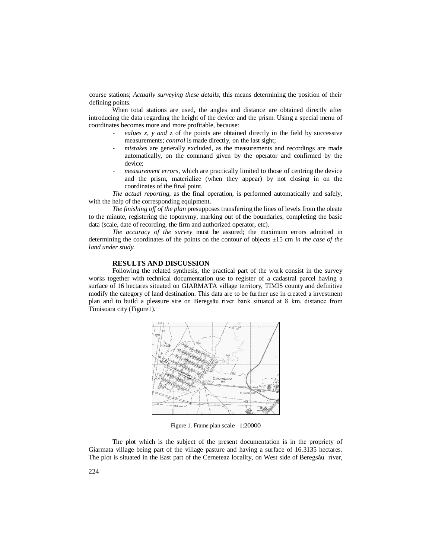course stations; *Actually surveying these details,* this means determining the position of their defining points.

When total stations are used, the angles and distance are obtained directly after introducing the data regarding the height of the device and the prism. Using a special menu of coordinates becomes more and more profitable, because:

- *values x, y and z* of the points are obtained directly in the field by successive measurements; *control* is made directly, on the last sight;
- mistakes are generally excluded, as the measurements and recordings are made automatically, on the command given by the operator and confirmed by the device;
- *measurement errors,* which are practically limited to those of centring the device and the prism, materialize (when they appear) by not closing in on the coordinates of the final point.

*The actual reporting,* as the final operation, is performed automatically and safely, with the help of the corresponding equipment.

*The finishing off of the plan* presupposes transferring the lines of levels from the oleate to the minute, registering the toponymy, marking out of the boundaries, completing the basic data (scale, date of recording, the firm and authorized operator, etc).

*The accuracy of the survey* must be assured; the maximum errors admitted in determining the coordinates of the points on the contour of objects ±15 cm *in the case of the land under study.*

### **RESULTS AND DISCUSSION**

Following the related synthesis, the practical part of the work consist in the survey works together with technical documentation use to register of a cadastral parcel having a surface of 16 hectares situated on GIARMATA village territory, TIMIS county and definitive modify the category of land destination. This data are to be further use in created a investment plan and to build a pleasure site on Beregsău river bank situated at 8 km. distance from Timisoara city (Figure1).



Figure 1. Frame plan scale 1:20000

The plot which is the subject of the present documentation is in the propriety of Giarmata village being part of the village pasture and having a surface of 16.3135 hectares. The plot is situated in the East part of the Cerneteaz locality, on West side of Beregsău river,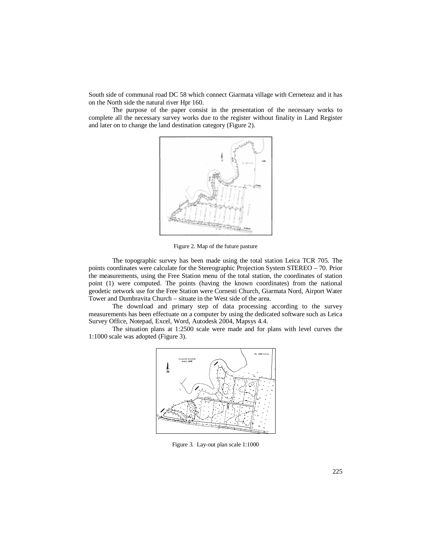South side of communal road DC 58 which connect Giarmata village with Cerneteaz and it has on the North side the natural river Hpr 160.

The purpose of the paper consist in the presentation of the necessary works to complete all the necessary survey works due to the register without finality in Land Register and later on to change the land destination category (Figure 2).



Figure 2. Map of the future pasture

The topographic survey has been made using the total station Leica TCR 705. The points coordinates were calculate for the Stereographic Projection System STEREO – 70. Prior the measurements, using the Free Station menu of the total station, the coordinates of station point (1) were computed. The points (having the known coordinates) from the national geodetic network use for the Free Station were Cornesti Church, Giarmata Nord, Airport Water Tower and Dumbravita Church – situate in the West side of the area.

The download and primary step of data processing according to the survey measurements has been effectuate on a computer by using the dedicated software such as Leica Survey Office, Notepad, Excel, Word, Autodesk 2004, Mapsys 4.4.

The situation plans at 1:2500 scale were made and for plans with level curves the 1:1000 scale was adopted (Figure 3).



Figure 3. Lay-out plan scale 1:1000